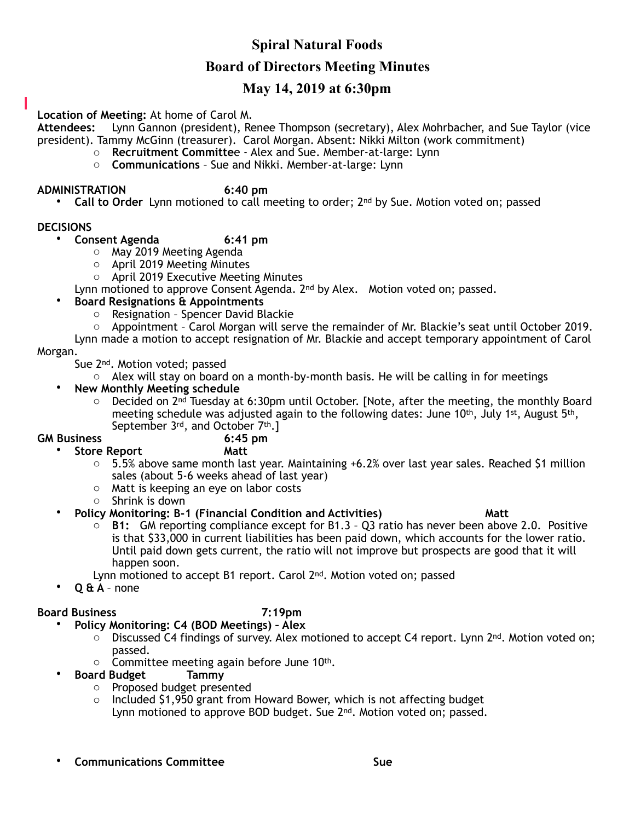# **Spiral Natural Foods**

## **Board of Directors Meeting Minutes**

## **May 14, 2019 at 6:30pm**

### **Location of Meeting:** At home of Carol M.

**Attendees:** Lynn Gannon (president), Renee Thompson (secretary), Alex Mohrbacher, and Sue Taylor (vice president). Tammy McGinn (treasurer). Carol Morgan. Absent: Nikki Milton (work commitment)

- o **Recruitment Committe**e Alex and Sue. Member-at-large: Lynn
- o **Communications** Sue and Nikki. Member-at-large: Lynn

#### **ADMINISTRATION 6:40 pm**

• **Call to Order** Lynn motioned to call meeting to order; 2nd by Sue. Motion voted on; passed

#### **DECISIONS**

- **Consent Agenda 6:41 pm** 
	- o May 2019 Meeting Agenda
	- o April 2019 Meeting Minutes
	- o April 2019 Executive Meeting Minutes

Lynn motioned to approve Consent Agenda. 2<sup>nd</sup> by Alex. Motion voted on; passed.

### • **Board Resignations & Appointments**

- o Resignation Spencer David Blackie
- o Appointment Carol Morgan will serve the remainder of Mr. Blackie's seat until October 2019.

Lynn made a motion to accept resignation of Mr. Blackie and accept temporary appointment of Carol Morgan.

Sue 2nd. Motion voted; passed

- $\circ$  Alex will stay on board on a month-by-month basis. He will be calling in for meetings
- **New Monthly Meeting schedule**
	- $\circ$  Decided on 2<sup>nd</sup> Tuesday at 6:30pm until October. [Note, after the meeting, the monthly Board meeting schedule was adjusted again to the following dates: June 10<sup>th</sup>, July 1<sup>st</sup>, August 5<sup>th</sup>, September  $3^{rd}$ , and October  $7^{th}$ .]<br>6:45 pm

#### **GM Business**

• **Store Report Matt** 

- $\circ$  5.5% above same month last year. Maintaining +6.2% over last year sales. Reached \$1 million sales (about 5-6 weeks ahead of last year)
- o Matt is keeping an eye on labor costs
- o Shrink is down

### • **Policy Monitoring: B-1 (Financial Condition and Activities) Matt**

- o **B1:** GM reporting compliance except for B1.3 Q3 ratio has never been above 2.0. Positive is that \$33,000 in current liabilities has been paid down, which accounts for the lower ratio. Until paid down gets current, the ratio will not improve but prospects are good that it will happen soon.
- Lynn motioned to accept B1 report. Carol 2<sup>nd</sup>. Motion voted on; passed
- **Q & A**  none

### **Board Business 7:19pm**

- **Policy Monitoring: C4 (BOD Meetings) Alex** 
	- $\circ$  Discussed C4 findings of survey. Alex motioned to accept C4 report. Lynn  $2^{nd}$ . Motion voted on; passed.
	- $\circ$  Committee meeting again before June 10<sup>th</sup>.
- **Board Budget Tammy** 
	- o Proposed budget presented
	- $\circ$  Included \$1,950 grant from Howard Bower, which is not affecting budget Lynn motioned to approve BOD budget. Sue 2<sup>nd</sup>. Motion voted on; passed.
- **Communications Committee Sue**